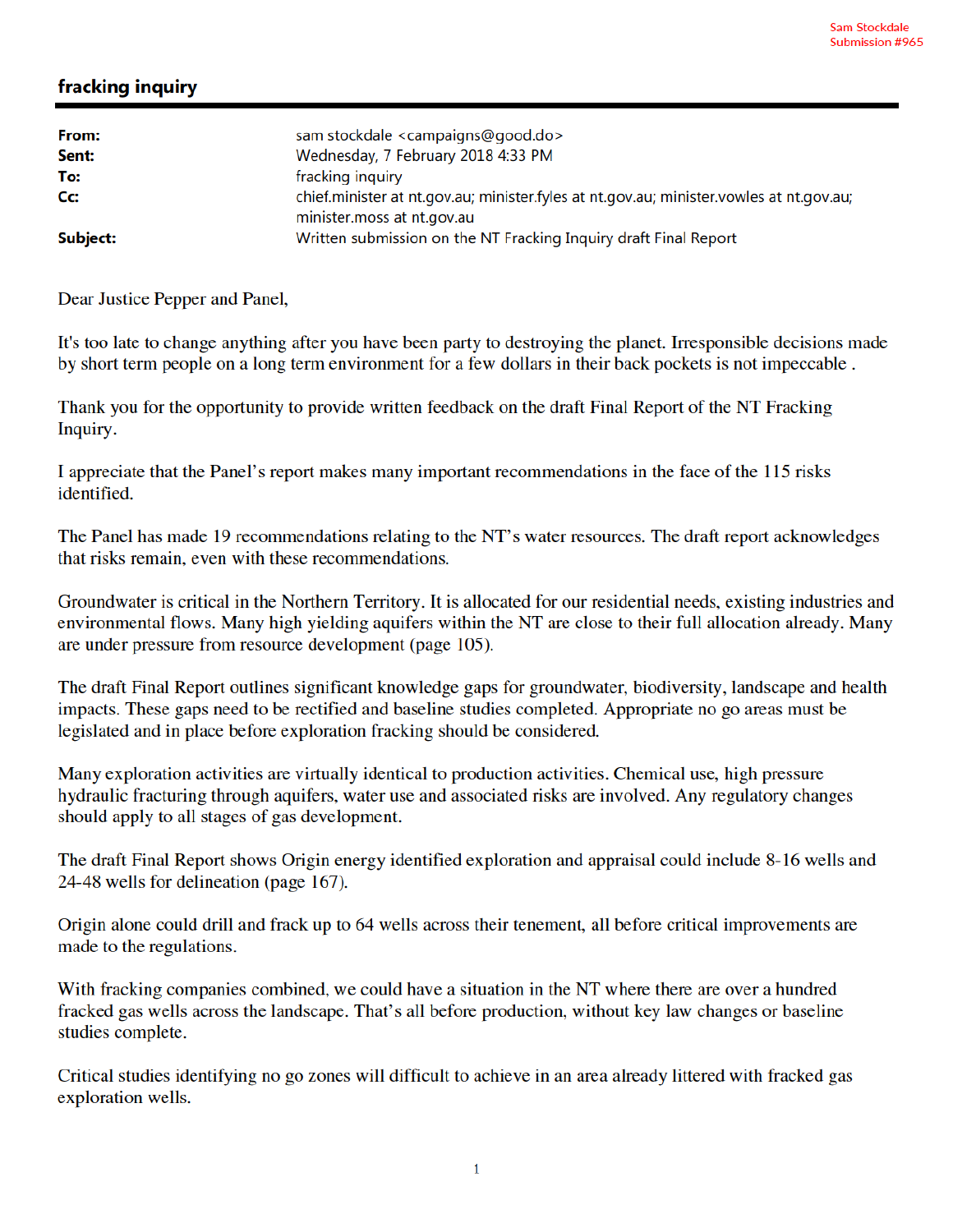## fracking inquiry

| From:<br>Sent: | sam stockdale <campaigns@good.do><br/>Wednesday, 7 February 2018 4:33 PM</campaigns@good.do>                          |
|----------------|-----------------------------------------------------------------------------------------------------------------------|
| To:            | fracking inquiry                                                                                                      |
| Cc:            | chief.minister at nt.gov.au; minister.fyles at nt.gov.au; minister.vowles at nt.gov.au;<br>minister.moss at nt.gov.au |
| Subject:       | Written submission on the NT Fracking Inquiry draft Final Report                                                      |

Dear Justice Pepper and Panel,

It's too late to change anything after you have been party to destroying the planet. Irresponsible decisions made by short term people on a long term environment for a few dollars in their back pockets is not impeccable.

Thank you for the opportunity to provide written feedback on the draft Final Report of the NT Fracking Inquiry.

I appreciate that the Panel's report makes many important recommendations in the face of the 115 risks identified.

The Panel has made 19 recommendations relating to the NT's water resources. The draft report acknowledges that risks remain, even with these recommendations.

Groundwater is critical in the Northern Territory. It is allocated for our residential needs, existing industries and environmental flows. Many high yielding aquifers within the NT are close to their full allocation already. Many are under pressure from resource development (page 105).

The draft Final Report outlines significant knowledge gaps for groundwater, biodiversity, landscape and health impacts. These gaps need to be rectified and baseline studies completed. Appropriate no go areas must be legislated and in place before exploration fracking should be considered.

Many exploration activities are virtually identical to production activities. Chemical use, high pressure hydraulic fracturing through aquifers, water use and associated risks are involved. Any regulatory changes should apply to all stages of gas development.

The draft Final Report shows Origin energy identified exploration and appraisal could include 8-16 wells and 24-48 wells for delineation (page 167).

Origin alone could drill and frack up to 64 wells across their tenement, all before critical improvements are made to the regulations.

With fracking companies combined, we could have a situation in the NT where there are over a hundred fracked gas wells across the landscape. That's all before production, without key law changes or baseline studies complete.

Critical studies identifying no go zones will difficult to achieve in an area already littered with fracked gas exploration wells.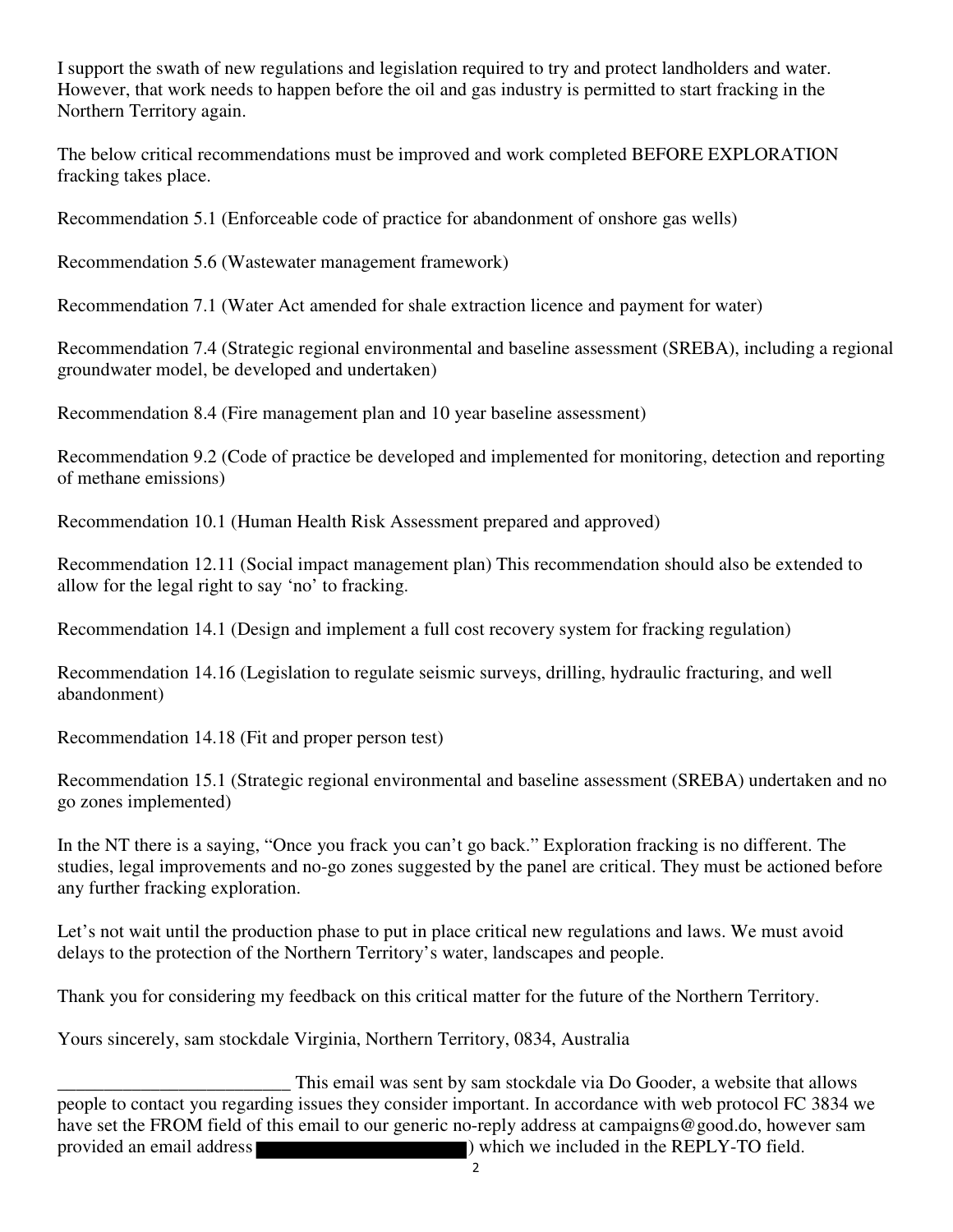I support the swath of new regulations and legislation required to try and protect landholders and water. However, that work needs to happen before the oil and gas industry is permitted to start fracking in the Northern Territory again.

The below critical recommendations must be improved and work completed BEFORE EXPLORATION fracking takes place.

Recommendation 5.1 (Enforceable code of practice for abandonment of onshore gas wells)

Recommendation 5.6 (Wastewater management framework)

Recommendation 7.1 (Water Act amended for shale extraction licence and payment for water)

Recommendation 7.4 (Strategic regional environmental and baseline assessment (SREBA), including a regional groundwater model, be developed and undertaken)

Recommendation 8.4 (Fire management plan and 10 year baseline assessment)

Recommendation 9.2 (Code of practice be developed and implemented for monitoring, detection and reporting of methane emissions)

Recommendation 10.1 (Human Health Risk Assessment prepared and approved)

Recommendation 12.11 (Social impact management plan) This recommendation should also be extended to allow for the legal right to say 'no' to fracking.

Recommendation 14.1 (Design and implement a full cost recovery system for fracking regulation)

Recommendation 14.16 (Legislation to regulate seismic surveys, drilling, hydraulic fracturing, and well abandonment)

Recommendation 14.18 (Fit and proper person test)

Recommendation 15.1 (Strategic regional environmental and baseline assessment (SREBA) undertaken and no go zones implemented)

In the NT there is a saying, "Once you frack you can't go back." Exploration fracking is no different. The studies, legal improvements and no-go zones suggested by the panel are critical. They must be actioned before any further fracking exploration.

Let's not wait until the production phase to put in place critical new regulations and laws. We must avoid delays to the protection of the Northern Territory's water, landscapes and people.

Thank you for considering my feedback on this critical matter for the future of the Northern Territory.

Yours sincerely, sam stockdale Virginia, Northern Territory, 0834, Australia

This email was sent by sam stockdale via Do Gooder, a website that allows<br>people to contact you regarding issues they consider important. In accordance with web protocol FC 3834 we have set the FROM field of this email to our generic no-reply address at campaigns@good.do, however sam provided an email address ) which we included in the REPLY-TO field.